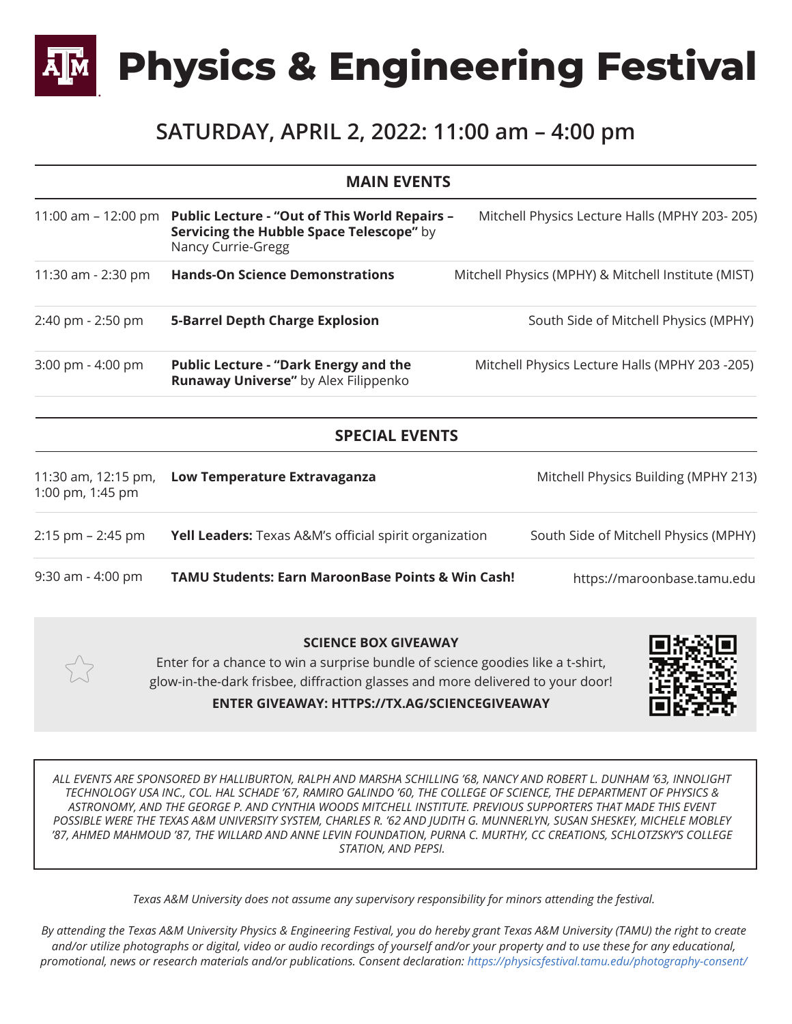**Physics & Engineering Festival**

## **SATURDAY, APRIL 2, 2022: 11:00 am – 4:00 pm**

|                                         | <b>MAIN EVENTS</b>                                                                                                     |                                                     |
|-----------------------------------------|------------------------------------------------------------------------------------------------------------------------|-----------------------------------------------------|
| 11:00 am $-$ 12:00 pm                   | <b>Public Lecture - "Out of This World Repairs -</b><br>Servicing the Hubble Space Telescope" by<br>Nancy Currie-Gregg | Mitchell Physics Lecture Halls (MPHY 203-205)       |
| 11:30 am - 2:30 pm                      | <b>Hands-On Science Demonstrations</b>                                                                                 | Mitchell Physics (MPHY) & Mitchell Institute (MIST) |
| 2:40 pm - 2:50 pm                       | <b>5-Barrel Depth Charge Explosion</b>                                                                                 | South Side of Mitchell Physics (MPHY)               |
| 3:00 pm - 4:00 pm                       | <b>Public Lecture - "Dark Energy and the</b><br>Runaway Universe" by Alex Filippenko                                   | Mitchell Physics Lecture Halls (MPHY 203 -205)      |
|                                         | <b>SPECIAL EVENTS</b>                                                                                                  |                                                     |
| 11:30 am, 12:15 pm,<br>1:00 pm, 1:45 pm | Low Temperature Extravaganza                                                                                           | Mitchell Physics Building (MPHY 213)                |
| $2:15$ pm $- 2:45$ pm                   | <b>Yell Leaders:</b> Texas A&M's official spirit organization                                                          | South Side of Mitchell Physics (MPHY)               |
| $9:30$ am - $4:00$ pm                   | <b>TAMU Students: Earn MaroonBase Points &amp; Win Cash!</b>                                                           | https://maroonbase.tamu.edu                         |

## **SCIENCE BOX GIVEAWAY** Enter for a chance to win a surprise bundle of science goodies like a t-shirt, glow-in-the-dark frisbee, diffraction glasses and more delivered to your door!





*ALL EVENTS ARE SPONSORED BY HALLIBURTON, RALPH AND MARSHA SCHILLING '68, NANCY AND ROBERT L. DUNHAM '63, INNOLIGHT TECHNOLOGY USA INC., COL. HAL SCHADE '67, RAMIRO GALINDO '60, THE COLLEGE OF SCIENCE, THE DEPARTMENT OF PHYSICS & ASTRONOMY, AND THE GEORGE P. AND CYNTHIA WOODS MITCHELL INSTITUTE. PREVIOUS SUPPORTERS THAT MADE THIS EVENT POSSIBLE WERE THE TEXAS A&M UNIVERSITY SYSTEM, CHARLES R. '62 AND JUDITH G. MUNNERLYN, SUSAN SHESKEY, MICHELE MOBLEY '87, AHMED MAHMOUD '87, THE WILLARD AND ANNE LEVIN FOUNDATION, PURNA C. MURTHY, CC CREATIONS, SCHLOTZSKY'S COLLEGE STATION, AND PEPSI.*

*Texas A&M University does not assume any supervisory responsibility for minors attending the festival.*

*By attending the Texas A&M University Physics & Engineering Festival, you do hereby grant Texas A&M University (TAMU) the right to create and/or utilize photographs or digital, video or audio recordings of yourself and/or your property and to use these for any educational, promotional, news or research materials and/or publications. Consent declaration: https://physicsfestival.tamu.edu/photography-consent/*